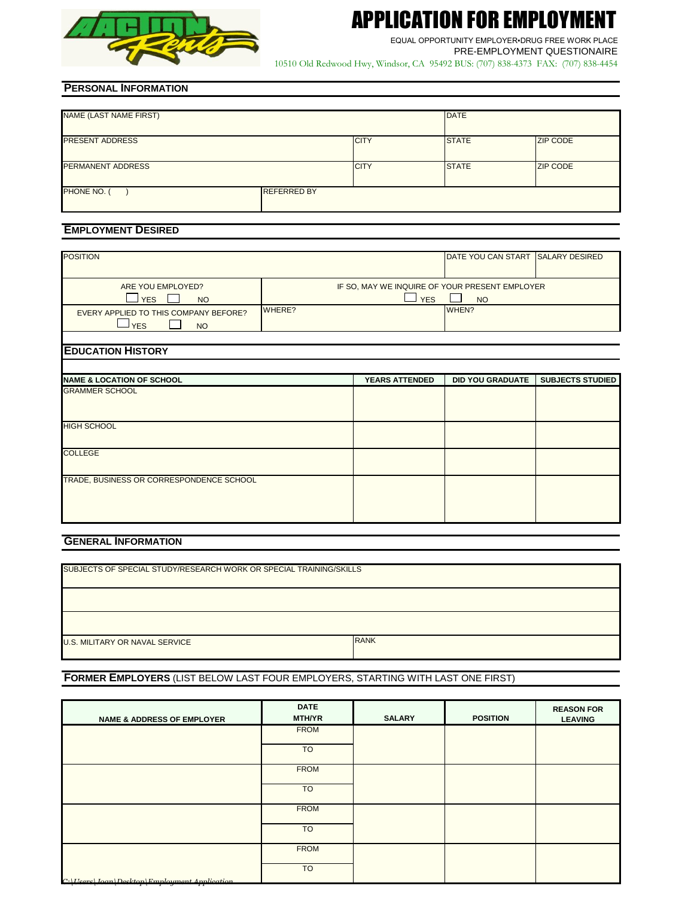

# APPLICATION FOR EMPLOYMENT

PRE-EMPLOYMENT QUESTIONAIRE EQUAL OPPORTUNITY EMPLOYER▪DRUG FREE WORK PLACE

10510 Old Redwood Hwy, Windsor, CA 95492 BUS: (707) 838-4373 FAX: (707) 838-4454

# **PERSONAL INFORMATION**

| NAME (LAST NAME FIRST)   |                    |             | <b>DATE</b>  |                 |  |
|--------------------------|--------------------|-------------|--------------|-----------------|--|
| <b>PRESENT ADDRESS</b>   |                    | <b>CITY</b> | <b>STATE</b> | <b>ZIP CODE</b> |  |
| <b>PERMANENT ADDRESS</b> |                    | <b>CITY</b> | <b>STATE</b> | <b>ZIP CODE</b> |  |
| PHONE NO. (              | <b>REFERRED BY</b> |             |              |                 |  |

# **EMPLOYMENT DESIRED**

| <b>POSITION</b>                                                  |        |                       | DATE YOU CAN START SALARY DESIRED                           |                         |
|------------------------------------------------------------------|--------|-----------------------|-------------------------------------------------------------|-------------------------|
| ARE YOU EMPLOYED?<br>$\Box$ YES<br><b>NO</b>                     |        | $\Box$ YES            | IF SO, MAY WE INQUIRE OF YOUR PRESENT EMPLOYER<br><b>NO</b> |                         |
| EVERY APPLIED TO THIS COMPANY BEFORE?<br><b>YES</b><br><b>NO</b> | WHERE? |                       | WHEN?                                                       |                         |
|                                                                  |        |                       |                                                             |                         |
| <b>EDUCATION HISTORY</b>                                         |        |                       |                                                             |                         |
|                                                                  |        |                       |                                                             |                         |
| <b>NAME &amp; LOCATION OF SCHOOL</b>                             |        | <b>YEARS ATTENDED</b> | <b>DID YOU GRADUATE</b>                                     | <b>SUBJECTS STUDIED</b> |
| <b>GRAMMER SCHOOL</b>                                            |        |                       |                                                             |                         |
| <b>HIGH SCHOOL</b>                                               |        |                       |                                                             |                         |
| <b>COLLEGE</b>                                                   |        |                       |                                                             |                         |
| TRADE, BUSINESS OR CORRESPONDENCE SCHOOL                         |        |                       |                                                             |                         |

# **GENERAL INFORMATION**

| SUBJECTS OF SPECIAL STUDY/RESEARCH WORK OR SPECIAL TRAINING/SKILLS |             |  |  |  |  |
|--------------------------------------------------------------------|-------------|--|--|--|--|
|                                                                    |             |  |  |  |  |
|                                                                    |             |  |  |  |  |
|                                                                    |             |  |  |  |  |
|                                                                    |             |  |  |  |  |
|                                                                    |             |  |  |  |  |
|                                                                    |             |  |  |  |  |
|                                                                    |             |  |  |  |  |
|                                                                    |             |  |  |  |  |
|                                                                    |             |  |  |  |  |
|                                                                    |             |  |  |  |  |
|                                                                    |             |  |  |  |  |
| <b>U.S. MILITARY OR NAVAL SERVICE</b>                              | <b>RANK</b> |  |  |  |  |
|                                                                    |             |  |  |  |  |
|                                                                    |             |  |  |  |  |
|                                                                    |             |  |  |  |  |

# **FORMER EMPLOYERS** (LIST BELOW LAST FOUR EMPLOYERS, STARTING WITH LAST ONE FIRST)

| <b>NAME &amp; ADDRESS OF EMPLOYER</b>                            | <b>DATE</b><br><b>MTH/YR</b> | <b>SALARY</b> | <b>POSITION</b> | <b>REASON FOR</b><br><b>LEAVING</b> |
|------------------------------------------------------------------|------------------------------|---------------|-----------------|-------------------------------------|
|                                                                  | <b>FROM</b>                  |               |                 |                                     |
|                                                                  | <b>TO</b>                    |               |                 |                                     |
|                                                                  | <b>FROM</b>                  |               |                 |                                     |
|                                                                  | <b>TO</b>                    |               |                 |                                     |
|                                                                  | <b>FROM</b>                  |               |                 |                                     |
|                                                                  | <b>TO</b>                    |               |                 |                                     |
|                                                                  | <b>FROM</b>                  |               |                 |                                     |
| $C \cdot \text{[Keare]}$ Loan   Deckton   Employment Application | <b>TO</b>                    |               |                 |                                     |